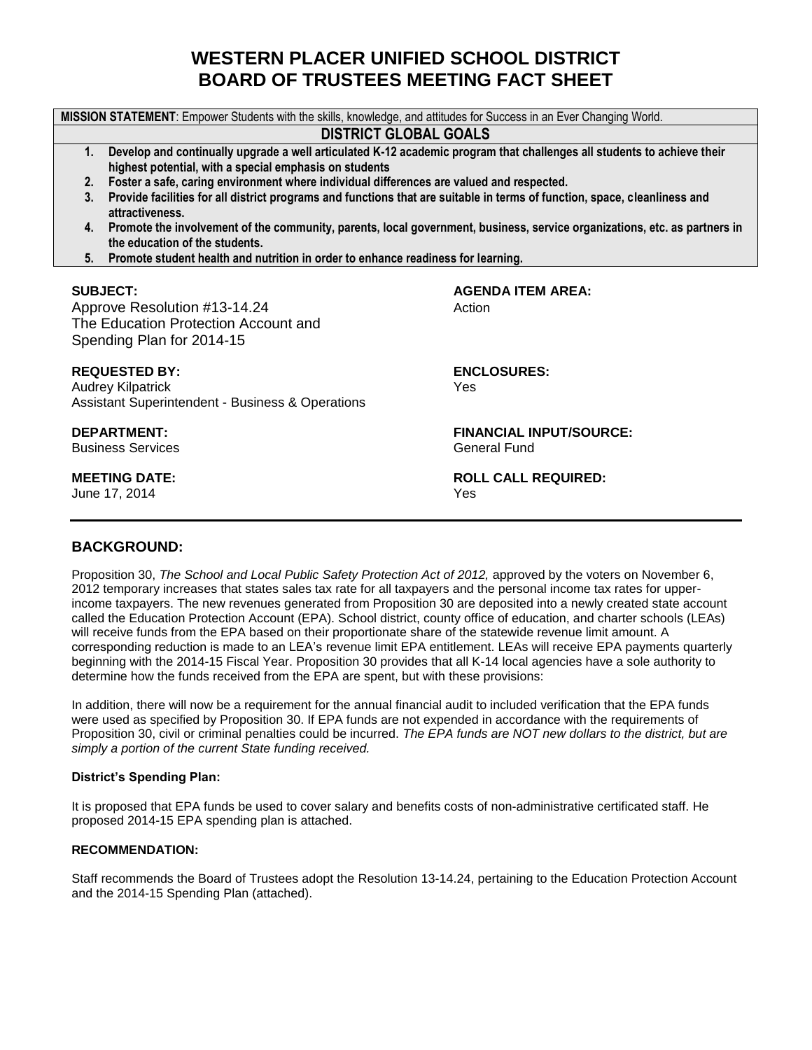# **WESTERN PLACER UNIFIED SCHOOL DISTRICT BOARD OF TRUSTEES MEETING FACT SHEET**

**MISSION STATEMENT**: Empower Students with the skills, knowledge, and attitudes for Success in an Ever Changing World.

### **DISTRICT GLOBAL GOALS**

- **1. Develop and continually upgrade a well articulated K-12 academic program that challenges all students to achieve their highest potential, with a special emphasis on students**
- **2. Foster a safe, caring environment where individual differences are valued and respected.**
- **3. Provide facilities for all district programs and functions that are suitable in terms of function, space, cleanliness and attractiveness.**
- **4. Promote the involvement of the community, parents, local government, business, service organizations, etc. as partners in the education of the students.**
- **5. Promote student health and nutrition in order to enhance readiness for learning.**

Approve Resolution #13-14.24 Action The Education Protection Account and Spending Plan for 2014-15

#### **REQUESTED BY: ENCLOSURES:**

Audrey Kilpatrick The Contract of the Contract of the Contract of the Vesting of the Vesting of the Vesting of the Vesting of the Vesting of the Vesting of the Vesting of the Vesting of the Vesting of the Vesting of the Ve Assistant Superintendent - Business & Operations

Business Services General Fund

June 17, 2014 **Yes** 

**SUBJECT: AGENDA ITEM AREA:**

**DEPARTMENT: FINANCIAL INPUT/SOURCE:**

**MEETING DATE: ROLL CALL REQUIRED:**

# **BACKGROUND:**

Proposition 30, *The School and Local Public Safety Protection Act of 2012*, approved by the voters on November 6, 2012 temporary increases that states sales tax rate for all taxpayers and the personal income tax rates for upperincome taxpayers. The new revenues generated from Proposition 30 are deposited into a newly created state account called the Education Protection Account (EPA). School district, county office of education, and charter schools (LEAs) will receive funds from the EPA based on their proportionate share of the statewide revenue limit amount. A corresponding reduction is made to an LEA's revenue limit EPA entitlement. LEAs will receive EPA payments quarterly beginning with the 2014-15 Fiscal Year. Proposition 30 provides that all K-14 local agencies have a sole authority to determine how the funds received from the EPA are spent, but with these provisions:

In addition, there will now be a requirement for the annual financial audit to included verification that the EPA funds were used as specified by Proposition 30. If EPA funds are not expended in accordance with the requirements of Proposition 30, civil or criminal penalties could be incurred. *The EPA funds are NOT new dollars to the district, but are simply a portion of the current State funding received.*

#### **District's Spending Plan:**

It is proposed that EPA funds be used to cover salary and benefits costs of non-administrative certificated staff. He proposed 2014-15 EPA spending plan is attached.

#### **RECOMMENDATION:**

Staff recommends the Board of Trustees adopt the Resolution 13-14.24, pertaining to the Education Protection Account and the 2014-15 Spending Plan (attached).